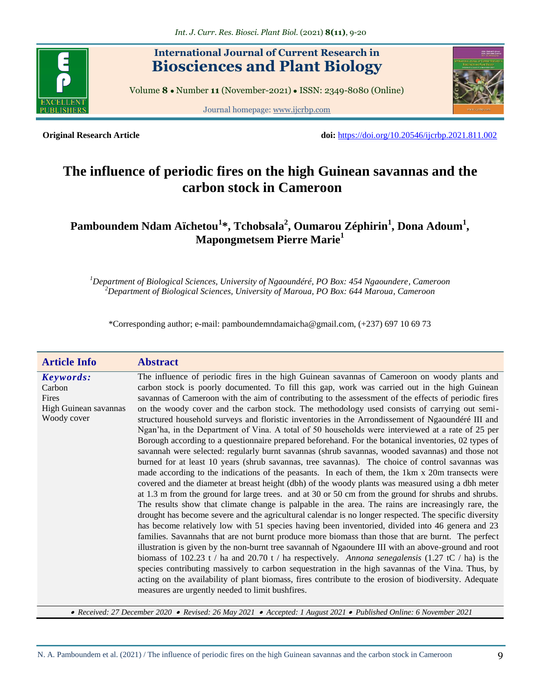

## **International Journal of Current Research in Biosciences and Plant Biology**

Volume **8** ● Number **11** (November-2021) ● ISSN: 2349-8080 (Online)





**Original Research Article doi:** <https://doi.org/10.20546/ijcrbp.2021.811.002>

# **The influence of periodic fires on the high Guinean savannas and the carbon stock in Cameroon**

**Pamboundem Ndam Aïchetou<sup>1</sup> \*, Tchobsala<sup>2</sup> , Oumarou Zéphirin<sup>1</sup> , Dona Adoum<sup>1</sup> , Mapongmetsem Pierre Marie<sup>1</sup>**

*<sup>1</sup>Department of Biological Sciences, University of Ngaoundéré, PO Box: 454 Ngaoundere, Cameroon <sup>2</sup>Department of Biological Sciences, University of Maroua, PO Box: 644 Maroua, Cameroon*

\*Corresponding author; e-mail: pamboundemndamaicha@gmail.com, (+237) 697 10 69 73

| <b>Article Info</b>                                                  | <b>Abstract</b>                                                                                                                                                                                                                                                                                                                                                                                                                                                                                                                                                                                                                                                                                                                                                                                                                                                                                                                                                                                                                                                                                                                                                                                                                                                                                                                                                                                                                                                                                                                                                                                                                                                                                                                                                                                                                                                                                                                                                                                                                                                                                                                                             |
|----------------------------------------------------------------------|-------------------------------------------------------------------------------------------------------------------------------------------------------------------------------------------------------------------------------------------------------------------------------------------------------------------------------------------------------------------------------------------------------------------------------------------------------------------------------------------------------------------------------------------------------------------------------------------------------------------------------------------------------------------------------------------------------------------------------------------------------------------------------------------------------------------------------------------------------------------------------------------------------------------------------------------------------------------------------------------------------------------------------------------------------------------------------------------------------------------------------------------------------------------------------------------------------------------------------------------------------------------------------------------------------------------------------------------------------------------------------------------------------------------------------------------------------------------------------------------------------------------------------------------------------------------------------------------------------------------------------------------------------------------------------------------------------------------------------------------------------------------------------------------------------------------------------------------------------------------------------------------------------------------------------------------------------------------------------------------------------------------------------------------------------------------------------------------------------------------------------------------------------------|
| Keywords:<br>Carbon<br>Fires<br>High Guinean savannas<br>Woody cover | The influence of periodic fires in the high Guinean savannas of Cameroon on woody plants and<br>carbon stock is poorly documented. To fill this gap, work was carried out in the high Guinean<br>savannas of Cameroon with the aim of contributing to the assessment of the effects of periodic fires<br>on the woody cover and the carbon stock. The methodology used consists of carrying out semi-<br>structured household surveys and floristic inventories in the Arrondissement of Ngaoundéré III and<br>Ngan'ha, in the Department of Vina. A total of 50 households were interviewed at a rate of 25 per<br>Borough according to a questionnaire prepared beforehand. For the botanical inventories, 02 types of<br>savannah were selected: regularly burnt savannas (shrub savannas, wooded savannas) and those not<br>burned for at least 10 years (shrub savannas, tree savannas). The choice of control savannas was<br>made according to the indications of the peasants. In each of them, the 1km x 20m transects were<br>covered and the diameter at breast height (dbh) of the woody plants was measured using a dbh meter<br>at 1.3 m from the ground for large trees. and at 30 or 50 cm from the ground for shrubs and shrubs.<br>The results show that climate change is palpable in the area. The rains are increasingly rare, the<br>drought has become severe and the agricultural calendar is no longer respected. The specific diversity<br>has become relatively low with 51 species having been inventoried, divided into 46 genera and 23<br>families. Savannahs that are not burnt produce more biomass than those that are burnt. The perfect<br>illustration is given by the non-burnt tree savannah of Ngaoundere III with an above-ground and root<br>biomass of 102.23 t / ha and 20.70 t / ha respectively. Annona senegalensis (1.27 tC / ha) is the<br>species contributing massively to carbon sequestration in the high savannas of the Vina. Thus, by<br>acting on the availability of plant biomass, fires contribute to the erosion of biodiversity. Adequate<br>measures are urgently needed to limit bushfires. |

 *Received: 27 December 2020 Revised: 26 May 2021 Accepted: 1 August 2021 Published Online: 6 November 2021*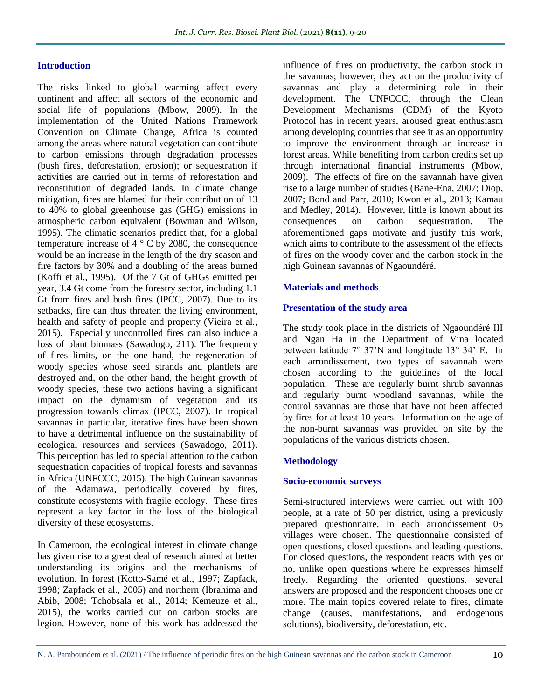### **Introduction**

The risks linked to global warming affect every continent and affect all sectors of the economic and social life of populations (Mbow, 2009). In the implementation of the United Nations Framework Convention on Climate Change, Africa is counted among the areas where natural vegetation can contribute to carbon emissions through degradation processes (bush fires, deforestation, erosion); or sequestration if activities are carried out in terms of reforestation and reconstitution of degraded lands. In climate change mitigation, fires are blamed for their contribution of 13 to 40% to global greenhouse gas (GHG) emissions in atmospheric carbon equivalent (Bowman and Wilson, 1995). The climatic scenarios predict that, for a global temperature increase of 4 ° C by 2080, the consequence would be an increase in the length of the dry season and fire factors by 30% and a doubling of the areas burned (Koffi et al., 1995). Of the 7 Gt of GHGs emitted per year, 3.4 Gt come from the forestry sector, including 1.1 Gt from fires and bush fires (IPCC, 2007). Due to its setbacks, fire can thus threaten the living environment, health and safety of people and property (Vieira et al*.,* 2015). Especially uncontrolled fires can also induce a loss of plant biomass (Sawadogo, 211). The frequency of fires limits, on the one hand, the regeneration of woody species whose seed strands and plantlets are destroyed and, on the other hand, the height growth of woody species, these two actions having a significant impact on the dynamism of vegetation and its progression towards climax (IPCC, 2007). In tropical savannas in particular, iterative fires have been shown to have a detrimental influence on the sustainability of ecological resources and services (Sawadogo, 2011). This perception has led to special attention to the carbon sequestration capacities of tropical forests and savannas in Africa (UNFCCC, 2015). The high Guinean savannas of the Adamawa, periodically covered by fires, constitute ecosystems with fragile ecology. These fires represent a key factor in the loss of the biological diversity of these ecosystems.

In Cameroon, the ecological interest in climate change has given rise to a great deal of research aimed at better understanding its origins and the mechanisms of evolution. In forest (Kotto-Samé et al., 1997; Zapfack, 1998; Zapfack et al., 2005) and northern (Ibrahima and Abib, 2008; Tchobsala et al., 2014; Kemeuze et al., 2015), the works carried out on carbon stocks are legion. However, none of this work has addressed the

influence of fires on productivity, the carbon stock in the savannas; however, they act on the productivity of savannas and play a determining role in their development. The UNFCCC, through the Clean Development Mechanisms (CDM) of the Kyoto Protocol has in recent years, aroused great enthusiasm among developing countries that see it as an opportunity to improve the environment through an increase in forest areas. While benefiting from carbon credits set up through international financial instruments (Mbow, 2009). The effects of fire on the savannah have given rise to a large number of studies (Bane-Ena, 2007; Diop, 2007; Bond and Parr, 2010; Kwon et al., 2013; Kamau and Medley, 2014). However, little is known about its consequences on carbon sequestration. The aforementioned gaps motivate and justify this work, which aims to contribute to the assessment of the effects of fires on the woody cover and the carbon stock in the high Guinean savannas of Ngaoundéré.

### **Materials and methods**

### **Presentation of the study area**

The study took place in the districts of Ngaoundéré III and Ngan Ha in the Department of Vina located between latitude 7° 37'N and longitude 13° 34' E. In each arrondissement, two types of savannah were chosen according to the guidelines of the local population. These are regularly burnt shrub savannas and regularly burnt woodland savannas, while the control savannas are those that have not been affected by fires for at least 10 years. Information on the age of the non-burnt savannas was provided on site by the populations of the various districts chosen.

### **Methodology**

### **Socio-economic surveys**

Semi-structured interviews were carried out with 100 people, at a rate of 50 per district, using a previously prepared questionnaire. In each arrondissement 05 villages were chosen. The questionnaire consisted of open questions, closed questions and leading questions. For closed questions, the respondent reacts with yes or no, unlike open questions where he expresses himself freely. Regarding the oriented questions, several answers are proposed and the respondent chooses one or more. The main topics covered relate to fires, climate change (causes, manifestations, and endogenous solutions), biodiversity, deforestation, etc.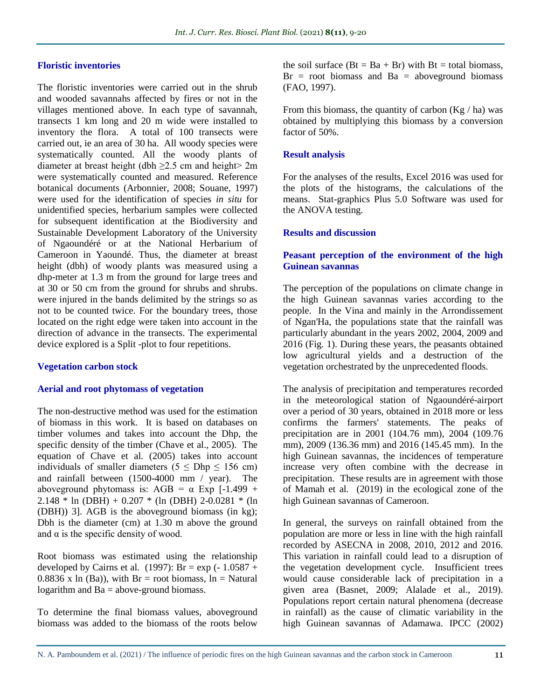### **Floristic inventories**

The floristic inventories were carried out in the shrub and wooded savannahs affected by fires or not in the villages mentioned above. In each type of savannah, transects 1 km long and 20 m wide were installed to inventory the flora. A total of 100 transects were carried out, ie an area of 30 ha. All woody species were systematically counted. All the woody plants of diameter at breast height (dbh  $\geq$  2.5 cm and height> 2m were systematically counted and measured. Reference botanical documents (Arbonnier, 2008; Souane, 1997) were used for the identification of species *in situ* for unidentified species, herbarium samples were collected for subsequent identification at the Biodiversity and Sustainable Development Laboratory of the University of Ngaoundéré or at the National Herbarium of Cameroon in Yaoundé. Thus, the diameter at breast height (dbh) of woody plants was measured using a dhp-meter at 1.3 m from the ground for large trees and at 30 or 50 cm from the ground for shrubs and shrubs. were injured in the bands delimited by the strings so as not to be counted twice. For the boundary trees, those located on the right edge were taken into account in the direction of advance in the transects. The experimental device explored is a Split -plot to four repetitions.

### **Vegetation carbon stock**

### **Aerial and root phytomass of vegetation**

The non-destructive method was used for the estimation of biomass in this work. It is based on databases on timber volumes and takes into account the Dhp, the specific density of the timber (Chave et al., 2005). The equation of Chave et al*.* (2005) takes into account individuals of smaller diameters ( $5 \leq Dhp \leq 156$  cm) and rainfall between (1500-4000 mm / year). The aboveground phytomass is: AGB =  $\alpha$  Exp [-1.499 +  $2.148 * ln (DBH) + 0.207 * (ln (DBH) 2-0.0281 * (ln$ (DBH)) 3]. AGB is the aboveground biomass (in kg); Dbh is the diameter (cm) at 1.30 m above the ground and  $\alpha$  is the specific density of wood.

Root biomass was estimated using the relationship developed by Cairns et al.  $(1997)$ : Br = exp  $(-1.0587 +$ 0.8836 x ln (Ba)), with  $Br = root$  biomass,  $In = Natural$ logarithm and  $Ba = above$ -ground biomass.

To determine the final biomass values, aboveground biomass was added to the biomass of the roots below

the soil surface  $(Bt = Ba + Br)$  with  $Bt = total$  biomass,  $Br = root$  biomass and  $Ba = aboveground$  biomass (FAO, 1997).

From this biomass, the quantity of carbon  $(Kg / ha)$  was obtained by multiplying this biomass by a conversion factor of 50%.

### **Result analysis**

For the analyses of the results, Excel 2016 was used for the plots of the histograms, the calculations of the means. Stat-graphics Plus 5.0 Software was used for the ANOVA testing.

### **Results and discussion**

### **Peasant perception of the environment of the high Guinean savannas**

The perception of the populations on climate change in the high Guinean savannas varies according to the people. In the Vina and mainly in the Arrondissement of Ngan'Ha, the populations state that the rainfall was particularly abundant in the years 2002, 2004, 2009 and 2016 (Fig. 1). During these years, the peasants obtained low agricultural yields and a destruction of the vegetation orchestrated by the unprecedented floods.

The analysis of precipitation and temperatures recorded in the meteorological station of Ngaoundéré-airport over a period of 30 years, obtained in 2018 more or less confirms the farmers' statements. The peaks of precipitation are in 2001 (104.76 mm), 2004 (109.76 mm), 2009 (136.36 mm) and 2016 (145.45 mm). In the high Guinean savannas, the incidences of temperature increase very often combine with the decrease in precipitation. These results are in agreement with those of Mamah et al*.* (2019) in the ecological zone of the high Guinean savannas of Cameroon.

In general, the surveys on rainfall obtained from the population are more or less in line with the high rainfall recorded by ASECNA in 2008, 2010, 2012 and 2016. This variation in rainfall could lead to a disruption of the vegetation development cycle. Insufficient trees would cause considerable lack of precipitation in a given area (Basnet, 2009; Alalade et al., 2019). Populations report certain natural phenomena (decrease in rainfall) as the cause of climatic variability in the high Guinean savannas of Adamawa. IPCC (2002)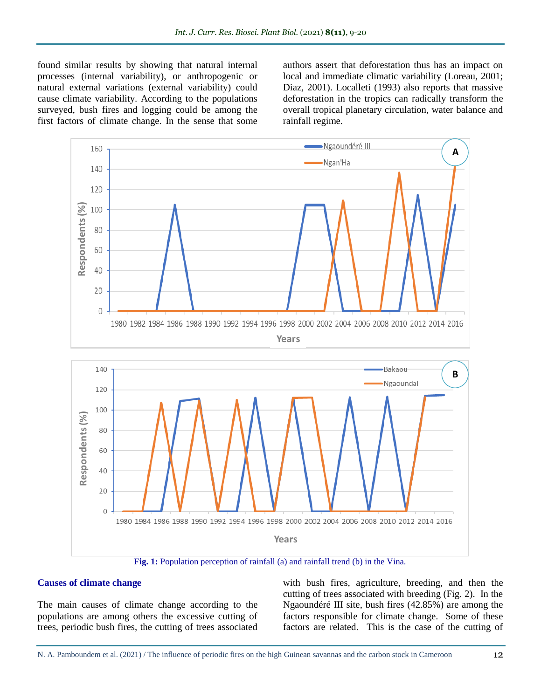found similar results by showing that natural internal processes (internal variability), or anthropogenic or natural external variations (external variability) could cause climate variability. According to the populations surveyed, bush fires and logging could be among the first factors of climate change. In the sense that some authors assert that deforestation thus has an impact on local and immediate climatic variability (Loreau, 2001; Diaz, 2001). Localleti (1993) also reports that massive deforestation in the tropics can radically transform the overall tropical planetary circulation, water balance and rainfall regime.



**Fig. 1:** Population perception of rainfall (a) and rainfall trend (b) in the Vina.

### **Causes of climate change**

The main causes of climate change according to the populations are among others the excessive cutting of trees, periodic bush fires, the cutting of trees associated with bush fires, agriculture, breeding, and then the cutting of trees associated with breeding (Fig. 2). In the Ngaoundéré III site, bush fires (42.85%) are among the factors responsible for climate change. Some of these factors are related. This is the case of the cutting of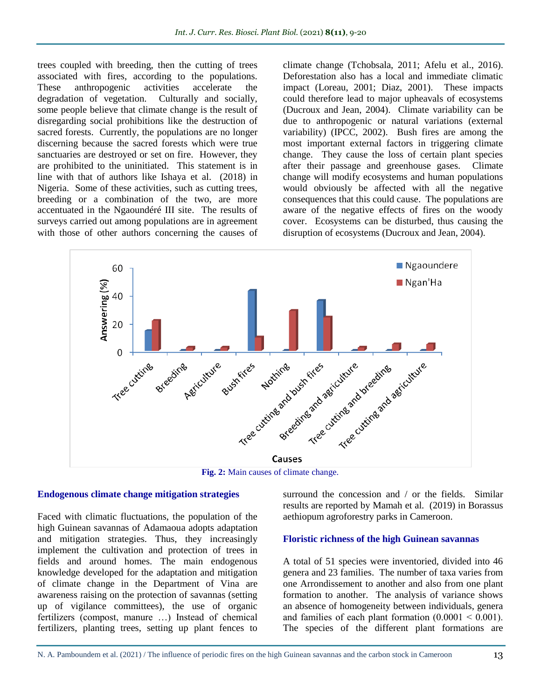trees coupled with breeding, then the cutting of trees associated with fires, according to the populations. These anthropogenic activities accelerate the degradation of vegetation. Culturally and socially, some people believe that climate change is the result of disregarding social prohibitions like the destruction of sacred forests. Currently, the populations are no longer discerning because the sacred forests which were true sanctuaries are destroyed or set on fire. However, they are prohibited to the uninitiated. This statement is in line with that of authors like Ishaya et al. (2018) in Nigeria. Some of these activities, such as cutting trees, breeding or a combination of the two, are more accentuated in the Ngaoundéré III site. The results of surveys carried out among populations are in agreement with those of other authors concerning the causes of climate change (Tchobsala, 2011; Afelu et al., 2016). Deforestation also has a local and immediate climatic impact (Loreau, 2001; Diaz, 2001). These impacts could therefore lead to major upheavals of ecosystems (Ducroux and Jean, 2004). Climate variability can be due to anthropogenic or natural variations (external variability) (IPCC, 2002). Bush fires are among the most important external factors in triggering climate change. They cause the loss of certain plant species after their passage and greenhouse gases. Climate change will modify ecosystems and human populations would obviously be affected with all the negative consequences that this could cause. The populations are aware of the negative effects of fires on the woody cover. Ecosystems can be disturbed, thus causing the disruption of ecosystems (Ducroux and Jean, 2004).



**Fig. 2:** Main causes of climate change.

### **Endogenous climate change mitigation strategies**

Faced with climatic fluctuations, the population of the high Guinean savannas of Adamaoua adopts adaptation and mitigation strategies. Thus, they increasingly implement the cultivation and protection of trees in fields and around homes. The main endogenous knowledge developed for the adaptation and mitigation of climate change in the Department of Vina are awareness raising on the protection of savannas (setting up of vigilance committees), the use of organic fertilizers (compost, manure …) Instead of chemical fertilizers, planting trees, setting up plant fences to

surround the concession and / or the fields. Similar results are reported by Mamah et al*.* (2019) in Borassus aethiopum agroforestry parks in Cameroon.

### **Floristic richness of the high Guinean savannas**

A total of 51 species were inventoried, divided into 46 genera and 23 families. The number of taxa varies from one Arrondissement to another and also from one plant formation to another. The analysis of variance shows an absence of homogeneity between individuals, genera and families of each plant formation  $(0.0001 \le 0.001)$ . The species of the different plant formations are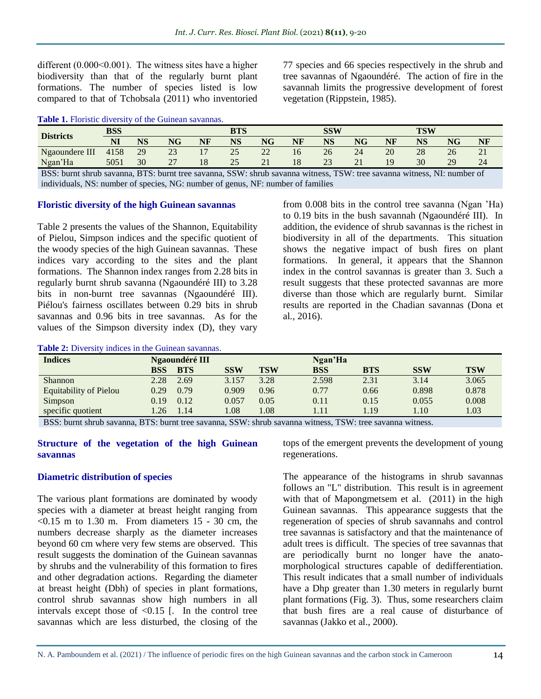different (0.000˂0.001). The witness sites have a higher biodiversity than that of the regularly burnt plant formations. The number of species listed is low compared to that of Tchobsala (2011) who inventoried 77 species and 66 species respectively in the shrub and tree savannas of Ngaoundéré. The action of fire in the savannah limits the progressive development of forest vegetation (Rippstein, 1985).

#### **Table 1.** Floristic diversity of the Guinean savannas.

| <b>Districts</b> | <b>BSS</b> |           |                          |                | <b>BTS</b> |                                    |           | <b>SSW</b>               |                         |    |           | <b>TSW</b> |                         |  |
|------------------|------------|-----------|--------------------------|----------------|------------|------------------------------------|-----------|--------------------------|-------------------------|----|-----------|------------|-------------------------|--|
|                  | NI         | <b>NS</b> | NG                       | <b>NF</b>      | <b>NS</b>  | NG                                 | NF        | <b>NS</b>                | NG                      | NF | <b>NS</b> | <b>NG</b>  | NF                      |  |
| Ngaoundere III   | 4158       | 29        | 2 <sup>2</sup><br>$\sim$ | 1 <sub>7</sub> | 25         | $\cap$<br>$\overline{\phantom{a}}$ | 16        | 26                       | 24                      | 20 | 28        | 26         | $\bigcap$ 1<br>$\sim$ 1 |  |
| Ngan'Ha          | 5051       | 30        | $\mathcal{L}$<br>$\sim$  | 18             | 25         | $\bigcap$ 1<br>$\sim$ 1            | 1 O<br>10 | $\cap$<br>$\overline{L}$ | $\bigcap$ 1<br>$\sim$ 1 |    | 30        | 29         | 24                      |  |

BSS: burnt shrub savanna, BTS: burnt tree savanna, SSW: shrub savanna witness, TSW: tree savanna witness, NI: number of individuals, NS: number of species, NG: number of genus, NF: number of families

#### **Floristic diversity of the high Guinean savannas**

Table 2 presents the values of the Shannon, Equitability of Pielou, Simpson indices and the specific quotient of the woody species of the high Guinean savannas. These indices vary according to the sites and the plant formations. The Shannon index ranges from 2.28 bits in regularly burnt shrub savanna (Ngaoundéré III) to 3.28 bits in non-burnt tree savannas (Ngaoundéré III). Piélou's fairness oscillates between 0.29 bits in shrub savannas and 0.96 bits in tree savannas. As for the values of the Simpson diversity index (D), they vary

from 0.008 bits in the control tree savanna (Ngan 'Ha) to 0.19 bits in the bush savannah (Ngaoundéré III). In addition, the evidence of shrub savannas is the richest in biodiversity in all of the departments. This situation shows the negative impact of bush fires on plant formations. In general, it appears that the Shannon index in the control savannas is greater than 3. Such a result suggests that these protected savannas are more diverse than those which are regularly burnt. Similar results are reported in the Chadian savannas (Dona et al*.*, 2016).

#### **Table 2:** Diversity indices in the Guinean savannas.

| <b>Indices</b>                |         | <b>Ngaoundéré III</b> |            |            | Ngan'Ha    |            |            |            |
|-------------------------------|---------|-----------------------|------------|------------|------------|------------|------------|------------|
|                               | BSS     | <b>BTS</b>            | <b>SSW</b> | <b>TSW</b> | <b>BSS</b> | <b>BTS</b> | <b>SSW</b> | <b>TSW</b> |
| <b>Shannon</b>                | 2.28    | 2.69                  | 3.157      | 3.28       | 2.598      | 2.31       | 3.14       | 3.065      |
| <b>Equitability of Pielou</b> | 0.29    | 0.79                  | 0.909      | 0.96       | 0.77       | 0.66       | 0.898      | 0.878      |
| Simpson                       | 0.19    | 0.12                  | 0.057      | 0.05       | 0.11       | 0.15       | 0.055      | 0.008      |
| specific quotient             | .26     | 1.14                  | .08        | 1.08       | 1.11       | 1.19       | 1.10       | 1.03       |
| ____                          | _ _ _ _ |                       | _______    |            | ____       |            |            |            |

BSS: burnt shrub savanna, BTS: burnt tree savanna, SSW: shrub savanna witness, TSW: tree savanna witness.

### **Structure of the vegetation of the high Guinean savannas**

#### **Diametric distribution of species**

The various plant formations are dominated by woody species with a diameter at breast height ranging from  $\leq 0.15$  m to 1.30 m. From diameters 15 - 30 cm, the numbers decrease sharply as the diameter increases beyond 60 cm where very few stems are observed. This result suggests the domination of the Guinean savannas by shrubs and the vulnerability of this formation to fires and other degradation actions. Regarding the diameter at breast height (Dbh) of species in plant formations, control shrub savannas show high numbers in all intervals except those of  $\langle 0.15 \rangle$  [. In the control tree savannas which are less disturbed, the closing of the

tops of the emergent prevents the development of young regenerations.

The appearance of the histograms in shrub savannas follows an "L" distribution. This result is in agreement with that of Mapongmetsem et al. (2011) in the high Guinean savannas. This appearance suggests that the regeneration of species of shrub savannahs and control tree savannas is satisfactory and that the maintenance of adult trees is difficult. The species of tree savannas that are periodically burnt no longer have the anatomorphological structures capable of dedifferentiation. This result indicates that a small number of individuals have a Dhp greater than 1.30 meters in regularly burnt plant formations (Fig. 3). Thus, some researchers claim that bush fires are a real cause of disturbance of savannas (Jakko et al., 2000).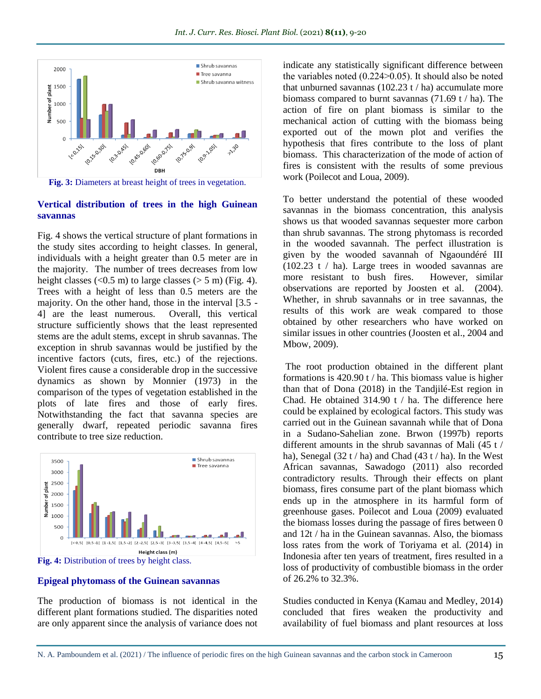

**Fig. 3:** Diameters at breast height of trees in vegetation.

### **Vertical distribution of trees in the high Guinean savannas**

Fig. 4 shows the vertical structure of plant formations in the study sites according to height classes. In general, individuals with a height greater than 0.5 meter are in the majority. The number of trees decreases from low height classes  $( $0.5 \text{ m}$ )$  to large classes  $(>5 \text{ m})$  (Fig. 4). Trees with a height of less than 0.5 meters are the majority. On the other hand, those in the interval [3.5 - 4] are the least numerous. Overall, this vertical structure sufficiently shows that the least represented stems are the adult stems, except in shrub savannas. The exception in shrub savannas would be justified by the incentive factors (cuts, fires, etc.) of the rejections. Violent fires cause a considerable drop in the successive dynamics as shown by Monnier (1973) in the comparison of the types of vegetation established in the plots of late fires and those of early fires. Notwithstanding the fact that savanna species are generally dwarf, repeated periodic savanna fires contribute to tree size reduction.





### **Epigeal phytomass of the Guinean savannas**

The production of biomass is not identical in the different plant formations studied. The disparities noted are only apparent since the analysis of variance does not indicate any statistically significant difference between the variables noted  $(0.224 \ge 0.05)$ . It should also be noted that unburned savannas  $(102.23 t / ha)$  accumulate more biomass compared to burnt savannas  $(71.69 \text{ t} / \text{ha})$ . The action of fire on plant biomass is similar to the mechanical action of cutting with the biomass being exported out of the mown plot and verifies the hypothesis that fires contribute to the loss of plant biomass. This characterization of the mode of action of fires is consistent with the results of some previous work (Poilecot and Loua, 2009).

To better understand the potential of these wooded savannas in the biomass concentration, this analysis shows us that wooded savannas sequester more carbon than shrub savannas. The strong phytomass is recorded in the wooded savannah. The perfect illustration is given by the wooded savannah of Ngaoundéré III (102.23 t / ha). Large trees in wooded savannas are more resistant to bush fires. However, similar observations are reported by Joosten et al. (2004). Whether, in shrub savannahs or in tree savannas, the results of this work are weak compared to those obtained by other researchers who have worked on similar issues in other countries (Joosten et al., 2004 and Mbow, 2009).

The root production obtained in the different plant formations is  $420.90$  t / ha. This biomass value is higher than that of Dona (2018) in the Tandjilé-Est region in Chad. He obtained 314.90 t / ha. The difference here could be explained by ecological factors. This study was carried out in the Guinean savannah while that of Dona in a Sudano-Sahelian zone. Brwon (1997b) reports different amounts in the shrub savannas of Mali (45 t / ha), Senegal  $(32 t / ha)$  and Chad  $(43 t / ha)$ . In the West African savannas, Sawadogo (2011) also recorded contradictory results. Through their effects on plant biomass, fires consume part of the plant biomass which ends up in the atmosphere in its harmful form of greenhouse gases. Poilecot and Loua (2009) evaluated the biomass losses during the passage of fires between 0 and 12t / ha in the Guinean savannas. Also, the biomass loss rates from the work of Toriyama et al*.* (2014) in Indonesia after ten years of treatment, fires resulted in a loss of productivity of combustible biomass in the order of 26.2% to 32.3%.

Studies conducted in Kenya (Kamau and Medley, 2014) concluded that fires weaken the productivity and availability of fuel biomass and plant resources at loss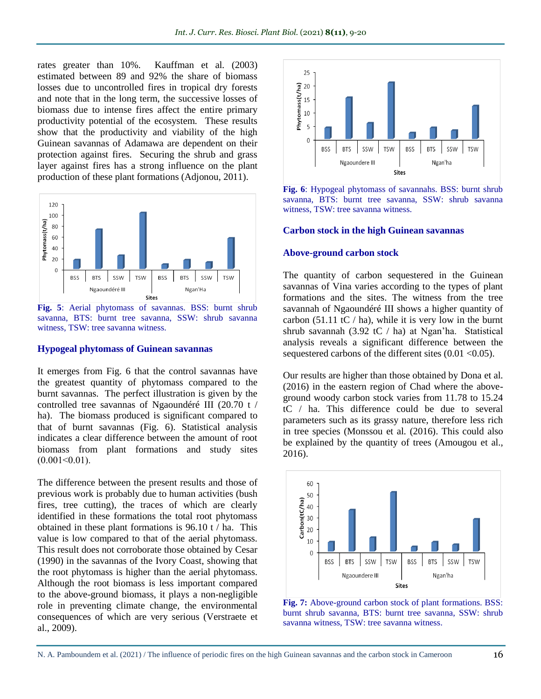rates greater than 10%. Kauffman et al*.* (2003) estimated between 89 and 92% the share of biomass losses due to uncontrolled fires in tropical dry forests and note that in the long term, the successive losses of biomass due to intense fires affect the entire primary productivity potential of the ecosystem. These results show that the productivity and viability of the high Guinean savannas of Adamawa are dependent on their protection against fires. Securing the shrub and grass layer against fires has a strong influence on the plant production of these plant formations (Adjonou, 2011).



**Fig. 5**: Aerial phytomass of savannas. BSS: burnt shrub savanna, BTS: burnt tree savanna, SSW: shrub savanna witness, TSW: tree savanna witness.

#### **Hypogeal phytomass of Guinean savannas**

It emerges from Fig. 6 that the control savannas have the greatest quantity of phytomass compared to the burnt savannas. The perfect illustration is given by the controlled tree savannas of Ngaoundéré III (20.70 t / ha). The biomass produced is significant compared to that of burnt savannas (Fig. 6). Statistical analysis indicates a clear difference between the amount of root biomass from plant formations and study sites  $(0.001<0.01)$ .

The difference between the present results and those of previous work is probably due to human activities (bush fires, tree cutting), the traces of which are clearly identified in these formations the total root phytomass obtained in these plant formations is 96.10 t / ha. This value is low compared to that of the aerial phytomass. This result does not corroborate those obtained by Cesar (1990) in the savannas of the Ivory Coast, showing that the root phytomass is higher than the aerial phytomass. Although the root biomass is less important compared to the above-ground biomass, it plays a non-negligible role in preventing climate change, the environmental consequences of which are very serious (Verstraete et al., 2009).



**Fig. 6**: Hypogeal phytomass of savannahs. BSS: burnt shrub savanna, BTS: burnt tree savanna, SSW: shrub savanna witness, TSW: tree savanna witness.

#### **Carbon stock in the high Guinean savannas**

#### **Above-ground carbon stock**

The quantity of carbon sequestered in the Guinean savannas of Vina varies according to the types of plant formations and the sites. The witness from the tree savannah of Ngaoundéré III shows a higher quantity of carbon (51.11 tC  $/$  ha), while it is very low in the burnt shrub savannah (3.92 tC / ha) at Ngan'ha. Statistical analysis reveals a significant difference between the sequestered carbons of the different sites  $(0.01 \le 0.05)$ .

Our results are higher than those obtained by Dona et al*.* (2016) in the eastern region of Chad where the aboveground woody carbon stock varies from 11.78 to 15.24 tC / ha. This difference could be due to several parameters such as its grassy nature, therefore less rich in tree species (Monssou et al*.* (2016). This could also be explained by the quantity of trees (Amougou et al., 2016).



**Fig. 7:** Above-ground carbon stock of plant formations. BSS: burnt shrub savanna, BTS: burnt tree savanna, SSW: shrub savanna witness, TSW: tree savanna witness.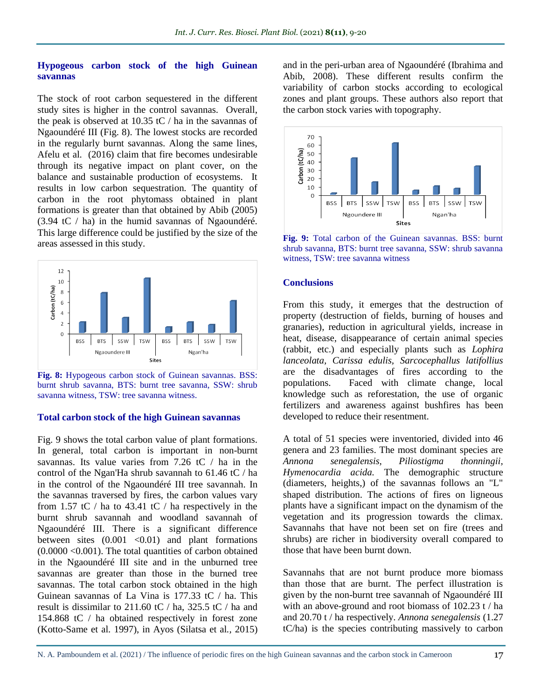### **Hypogeous carbon stock of the high Guinean savannas**

The stock of root carbon sequestered in the different study sites is higher in the control savannas. Overall, the peak is observed at 10.35 tC / ha in the savannas of Ngaoundéré III (Fig. 8). The lowest stocks are recorded in the regularly burnt savannas. Along the same lines, Afelu et al*.* (2016) claim that fire becomes undesirable through its negative impact on plant cover, on the balance and sustainable production of ecosystems. It results in low carbon sequestration. The quantity of carbon in the root phytomass obtained in plant formations is greater than that obtained by Abib  $(2005)$ (3.94 tC / ha) in the humid savannas of Ngaoundéré. This large difference could be justified by the size of the areas assessed in this study.



**Fig. 8:** Hypogeous carbon stock of Guinean savannas. BSS: burnt shrub savanna, BTS: burnt tree savanna, SSW: shrub savanna witness, TSW: tree savanna witness.

### **Total carbon stock of the high Guinean savannas**

Fig. 9 shows the total carbon value of plant formations. In general, total carbon is important in non-burnt savannas. Its value varies from 7.26 tC / ha in the control of the Ngan'Ha shrub savannah to 61.46 tC / ha in the control of the Ngaoundéré III tree savannah. In the savannas traversed by fires, the carbon values vary from 1.57 tC  $/$  ha to 43.41 tC  $/$  ha respectively in the burnt shrub savannah and woodland savannah of Ngaoundéré III. There is a significant difference between sites  $(0.001 \le 0.01)$  and plant formations  $(0.0000 \le 0.001)$ . The total quantities of carbon obtained in the Ngaoundéré III site and in the unburned tree savannas are greater than those in the burned tree savannas. The total carbon stock obtained in the high Guinean savannas of La Vina is 177.33 tC / ha. This result is dissimilar to 211.60 tC  $/$  ha, 325.5 tC  $/$  ha and 154.868 tC / ha obtained respectively in forest zone (Kotto-Same et al*.* 1997), in Ayos (Silatsa et al*.,* 2015) and in the peri-urban area of Ngaoundéré (Ibrahima and Abib, 2008). These different results confirm the variability of carbon stocks according to ecological zones and plant groups. These authors also report that the carbon stock varies with topography.



**Fig. 9:** Total carbon of the Guinean savannas. BSS: burnt shrub savanna, BTS: burnt tree savanna, SSW: shrub savanna witness, TSW: tree savanna witness

#### **Conclusions**

From this study, it emerges that the destruction of property (destruction of fields, burning of houses and granaries), reduction in agricultural yields, increase in heat, disease, disappearance of certain animal species (rabbit, etc.) and especially plants such as *Lophira lanceolata, Carissa edulis, Sarcocephallus latifollius* are the disadvantages of fires according to the populations. Faced with climate change, local knowledge such as reforestation, the use of organic fertilizers and awareness against bushfires has been developed to reduce their resentment.

A total of 51 species were inventoried, divided into 46 genera and 23 families. The most dominant species are *Annona senegalensis, Piliostigma thonningii, Hymenocardia acida.* The demographic structure (diameters, heights,) of the savannas follows an "L" shaped distribution. The actions of fires on ligneous plants have a significant impact on the dynamism of the vegetation and its progression towards the climax. Savannahs that have not been set on fire (trees and shrubs) are richer in biodiversity overall compared to those that have been burnt down.

Savannahs that are not burnt produce more biomass than those that are burnt. The perfect illustration is given by the non-burnt tree savannah of Ngaoundéré III with an above-ground and root biomass of 102.23 t / ha and 20.70 t / ha respectively. *Annona senegalensis* (1.27 tC/ha) is the species contributing massively to carbon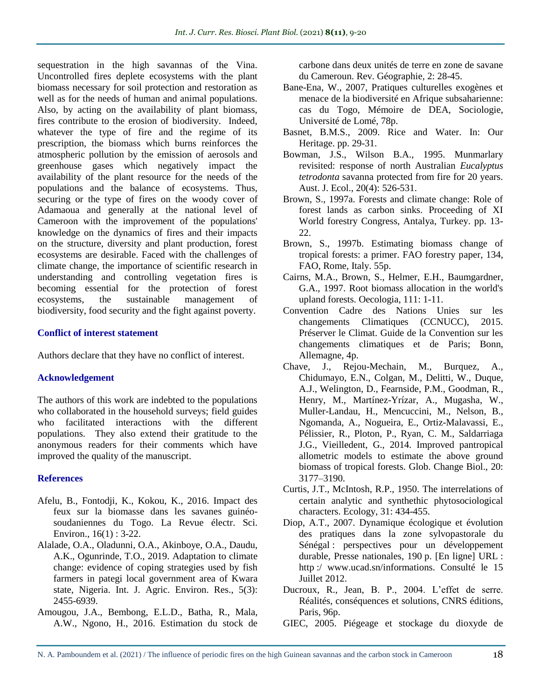sequestration in the high savannas of the Vina. Uncontrolled fires deplete ecosystems with the plant biomass necessary for soil protection and restoration as well as for the needs of human and animal populations. Also, by acting on the availability of plant biomass, fires contribute to the erosion of biodiversity. Indeed, whatever the type of fire and the regime of its prescription, the biomass which burns reinforces the atmospheric pollution by the emission of aerosols and greenhouse gases which negatively impact the availability of the plant resource for the needs of the populations and the balance of ecosystems. Thus, securing or the type of fires on the woody cover of Adamaoua and generally at the national level of Cameroon with the improvement of the populations' knowledge on the dynamics of fires and their impacts on the structure, diversity and plant production, forest ecosystems are desirable. Faced with the challenges of climate change, the importance of scientific research in understanding and controlling vegetation fires is becoming essential for the protection of forest ecosystems, the sustainable management of biodiversity, food security and the fight against poverty.

### **Conflict of interest statement**

Authors declare that they have no conflict of interest.

### **Acknowledgement**

The authors of this work are indebted to the populations who collaborated in the household surveys; field guides who facilitated interactions with the different populations. They also extend their gratitude to the anonymous readers for their comments which have improved the quality of the manuscript.

### **References**

- Afelu, B., Fontodji, K., Kokou, K., 2016. Impact des feux sur la biomasse dans les savanes guinéosoudaniennes du Togo. La Revue électr. Sci. Environ., 16(1) : 3-22.
- Alalade, O.A., Oladunni, O.A., Akinboye, O.A., Daudu, A.K., Ogunrinde, T.O., 2019. Adaptation to climate change: evidence of coping strategies used by fish farmers in pategi local government area of Kwara state, Nigeria. Int. J. Agric. Environ. Res., 5(3): 2455-6939.
- Amougou, J.A., Bembong, E.L.D., Batha, R., Mala, A.W., Ngono, H., 2016. Estimation du stock de

carbone dans deux unités de terre en zone de savane du Cameroun. Rev. Géographie, 2: 28-45.

- Bane-Ena, W., 2007, Pratiques culturelles exogènes et menace de la biodiversité en Afrique subsaharienne: cas du Togo, Mémoire de DEA, Sociologie, Université de Lomé, 78p.
- Basnet, B.M.S., 2009. Rice and Water. In: Our Heritage. pp. 29-31.
- Bowman, J.S., Wilson B.A., 1995. Munmarlary revisited: response of north Australian *Eucalyptus tetrodonta* savanna protected from fire for 20 years. Aust. J. Ecol., 20(4): 526-531.
- Brown, S., 1997a. Forests and climate change: Role of forest lands as carbon sinks. Proceeding of XI World forestry Congress, Antalya, Turkey. pp. 13- 22.
- Brown, S., 1997b. Estimating biomass change of tropical forests: a primer. FAO forestry paper, 134, FAO, Rome, Italy. 55p.
- Cairns, M.A., Brown, S., Helmer, E.H., Baumgardner, G.A., 1997. Root biomass allocation in the world's upland forests. Oecologia, 111: 1-11.
- Convention Cadre des Nations Unies sur les changements Climatiques (CCNUCC), 2015. Préserver le Climat. Guide de la Convention sur les changements climatiques et de Paris; Bonn, Allemagne, 4p.
- Chave, J., Rejou-Mechain, M., Burquez, A., Chidumayo, E.N., Colgan, M., Delitti, W., Duque, A.J., Welington, D., Fearnside, P.M., Goodman, R., Henry, M., Martínez-Yrízar, A., Mugasha, W., Muller-Landau, H., Mencuccini, M., Nelson, B., Ngomanda, A., Nogueira, E., Ortiz-Malavassi, E., Pélissier, R., Ploton, P., Ryan, C. M., Saldarriaga J.G., Vieilledent, G., 2014. Improved pantropical allometric models to estimate the above ground biomass of tropical forests. Glob. Change Biol., 20: 3177–3190.
- Curtis, J.T., McIntosh, R.P., 1950. The interrelations of certain analytic and synthethic phytosociological characters. Ecology, 31: 434-455.
- Diop, A.T., 2007. Dynamique écologique et évolution des pratiques dans la zone sylvopastorale du Sénégal : perspectives pour un développement durable, Presse nationales, 190 p. [En ligne] URL : http://www.ucad.sn/informations. Consulté le 15 Juillet 2012.
- Ducroux, R., Jean, B. P., 2004. L'effet de serre. Réalités, conséquences et solutions, CNRS éditions, Paris, 96p.
- GIEC, 2005. Piégeage et stockage du dioxyde de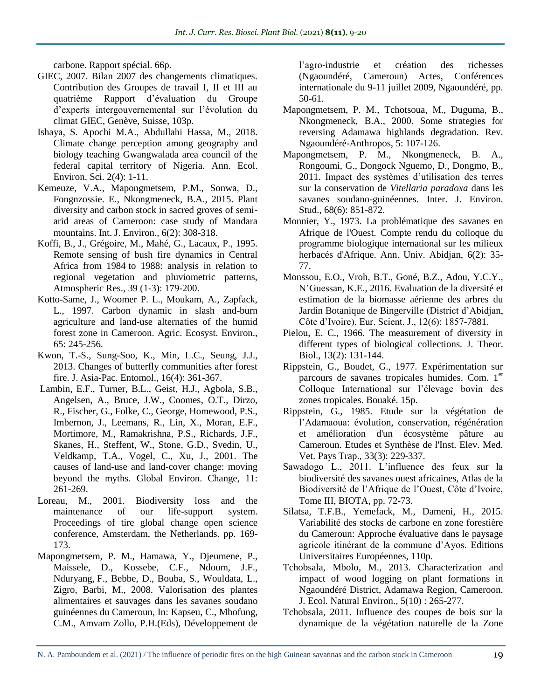carbone. Rapport spécial. 66p.

- GIEC, 2007. Bilan 2007 des changements climatiques. Contribution des Groupes de travail I, II et III au quatrième Rapport d'évaluation du Groupe d'experts intergouvernemental sur l'évolution du climat GIEC, Genève, Suisse, 103p.
- Ishaya, S. Apochi M.A., Abdullahi Hassa, M., 2018. Climate change perception among geography and biology teaching Gwangwalada area council of the federal capital territory of Nigeria. Ann. Ecol. Environ. Sci. 2(4): 1-11.
- Kemeuze, V.A., Mapongmetsem, P.M., Sonwa, D., Fongnzossie. E., Nkongmeneck, B.A., 2015. Plant diversity and carbon stock in sacred groves of semiarid areas of Cameroon: case study of Mandara mountains. Int. J. Environ., 6(2): 308-318.
- Koffi, B., J., Grégoire, M., Mahé, G., Lacaux, P., 1995. Remote sensing of bush fire dynamics in Central Africa from 1984 to 1988: analysis in relation to regional vegetation and pluviometric patterns, Atmospheric Res., 39 (1-3): 179-200.
- Kotto-Same, J., Woomer P. L., Moukam, A., Zapfack, L., 1997. Carbon dynamic in slash and-burn agriculture and land-use alternaties of the humid forest zone in Cameroon. Agric. Ecosyst. Environ., 65: 245-256.
- Kwon, T.-S., Sung-Soo, K., Min, L.C., Seung, J.J., 2013. Changes of butterfly communities after forest fire. J. Asia-Pac. Entomol., 16(4): 361-367.
- Lambin, E.F., Turner, B.L., Geist, H.J., Agbola, S.B., Angelsen, A., Bruce, J.W., Coomes, O.T., Dirzo, R., Fischer, G., Folke, C., George, Homewood, P.S., Imbernon, J., Leemans, R., Lin, X., Moran, E.F., Mortimore, M., Ramakrishna, P.S., Richards, J.F., Skanes, H., Steffent, W., Stone, G.D., Svedin, U., Veldkamp, T.A., Vogel, C., Xu, J., 2001. The causes of land-use and land-cover change: moving beyond the myths. Global Environ. Change, 11: 261-269.
- Loreau, M., 2001. Biodiversity loss and the maintenance of our life-support system. Proceedings of tire global change open science conference, Amsterdam, the Netherlands. pp. 169- 173.
- Mapongmetsem, P. M., Hamawa, Y., Djeumene, P., Maissele, D., Kossebe, C.F., Ndoum, J.F., Nduryang, F., Bebbe, D., Bouba, S., Wouldata, L., Zigro, Barbi, M., 2008. Valorisation des plantes alimentaires et sauvages dans les savanes soudano guinéennes du Cameroun, In: Kapseu, C., Mbofung, C.M., Amvam Zollo, P.H.(Eds), Développement de

l'agro-industrie et création des richesses (Ngaoundéré, Cameroun) Actes, Conférences internationale du 9-11 juillet 2009, Ngaoundéré, pp. 50-61.

- Mapongmetsem, P. M., Tchotsoua, M., Duguma, B., Nkongmeneck, B.A., 2000. Some strategies for reversing Adamawa highlands degradation. Rev. Ngaoundéré-Anthropos, 5: 107-126.
- Mapongmetsem, P. M., Nkongmeneck, B. A., Rongoumi, G., Dongock Nguemo, D., Dongmo, B., 2011. Impact des systèmes d'utilisation des terres sur la conservation de *Vitellaria paradoxa* dans les savanes soudano-guinéennes. Inter. J. Environ. Stud., 68(6): 851-872.
- Monnier, Y., 1973. La problématique des savanes en Afrique de l'Ouest. Compte rendu du colloque du programme biologique international sur les milieux herbacés d'Afrique. Ann. Univ. Abidjan, 6(2): 35- 77.
- Monssou, E.O., Vroh, B.T., Goné, B.Z., Adou, Y.C.Y., N'Guessan, K.E., 2016. Evaluation de la diversité et estimation de la biomasse aérienne des arbres du Jardin Botanique de Bingerville (District d'Abidjan, Côte d'Ivoire). Eur. Scient. J., 12(6): 1857-7881.
- Pielou, E. C., 1966. The measurement of diversity in different types of biological collections*.* J. Theor. Biol., 13(2): 131-144.
- Rippstein, G., Boudet, G., 1977. Expérimentation sur parcours de savanes tropicales humides. Com. 1<sup>er</sup> Colloque International sur l'élevage bovin des zones tropicales. Bouaké. 15p.
- Rippstein, G., 1985. Etude sur la végétation de l'Adamaoua: évolution, conservation, régénération et amélioration d'un écosystème pâture au Cameroun. Etudes et Synthèse de l'Inst. Elev. Med. Vet. Pays Trap., 33(3): 229-337.
- Sawadogo L., 2011. L'influence des feux sur la biodiversité des savanes ouest africaines, Atlas de la Biodiversité de l'Afrique de l'Ouest, Côte d'Ivoire, Tome III, BIOTA, pp. 72-73.
- Silatsa, T.F.B., Yemefack, M., Dameni, H., 2015. Variabilité des stocks de carbone en zone forestière du Cameroun: Approche évaluative dans le paysage agricole itinérant de la commune d'Ayos. Editions Universitaires Européennes, 110p.
- Tchobsala, Mbolo, M., 2013. Characterization and impact of wood logging on plant formations in Ngaoundéré District, Adamawa Region, Cameroon. J. Ecol. Natural Environ., 5(10) : 265-277.
- Tchobsala, 2011. Influence des coupes de bois sur la dynamique de la végétation naturelle de la Zone